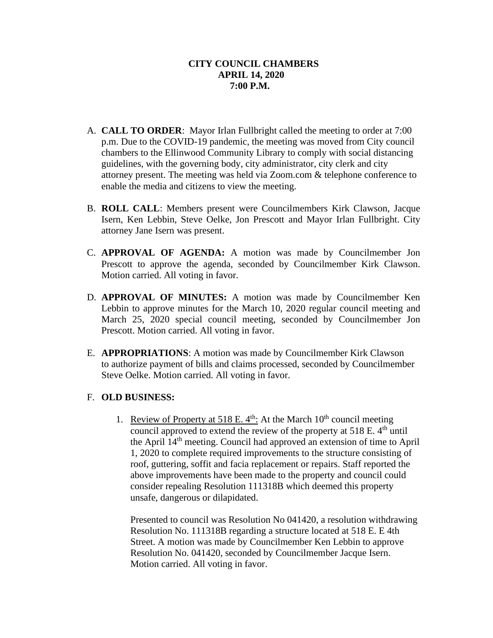- A. **CALL TO ORDER**: Mayor Irlan Fullbright called the meeting to order at 7:00 p.m. Due to the COVID-19 pandemic, the meeting was moved from City council chambers to the Ellinwood Community Library to comply with social distancing guidelines, with the governing body, city administrator, city clerk and city attorney present. The meeting was held via Zoom.com & telephone conference to enable the media and citizens to view the meeting.
- B. **ROLL CALL**: Members present were Councilmembers Kirk Clawson, Jacque Isern, Ken Lebbin, Steve Oelke, Jon Prescott and Mayor Irlan Fullbright. City attorney Jane Isern was present.
- C. **APPROVAL OF AGENDA:** A motion was made by Councilmember Jon Prescott to approve the agenda, seconded by Councilmember Kirk Clawson. Motion carried. All voting in favor.
- D. **APPROVAL OF MINUTES:** A motion was made by Councilmember Ken Lebbin to approve minutes for the March 10, 2020 regular council meeting and March 25, 2020 special council meeting, seconded by Councilmember Jon Prescott. Motion carried. All voting in favor.
- E. **APPROPRIATIONS**: A motion was made by Councilmember Kirk Clawson to authorize payment of bills and claims processed, seconded by Councilmember Steve Oelke. Motion carried. All voting in favor.

# F. **OLD BUSINESS:**

1. Review of Property at 518 E.  $4<sup>th</sup>$ : At the March 10<sup>th</sup> council meeting council approved to extend the review of the property at  $518$  E.  $4<sup>th</sup>$  until the April 14th meeting. Council had approved an extension of time to April 1, 2020 to complete required improvements to the structure consisting of roof, guttering, soffit and facia replacement or repairs. Staff reported the above improvements have been made to the property and council could consider repealing Resolution 111318B which deemed this property unsafe, dangerous or dilapidated.

Presented to council was Resolution No 041420, a resolution withdrawing Resolution No. 111318B regarding a structure located at 518 E. E 4th Street. A motion was made by Councilmember Ken Lebbin to approve Resolution No. 041420, seconded by Councilmember Jacque Isern. Motion carried. All voting in favor.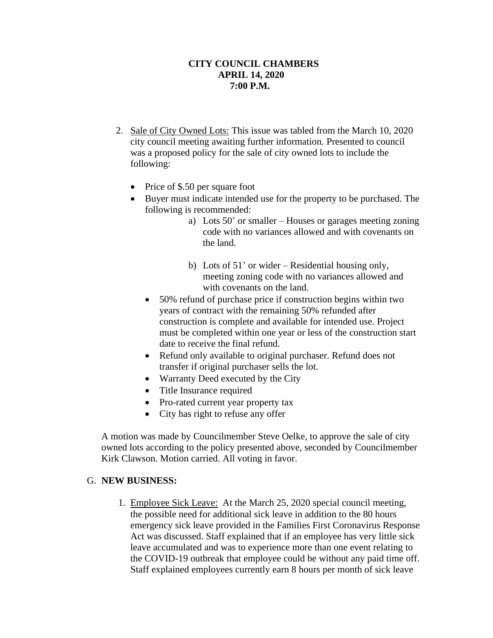- 2. Sale of City Owned Lots: This issue was tabled from the March 10, 2020 city council meeting awaiting further information. Presented to council was a proposed policy for the sale of city owned lots to include the following:
	- Price of \$.50 per square foot
	- Buyer must indicate intended use for the property to be purchased. The following is recommended:
		- a) Lots 50' or smaller Houses or garages meeting zoning code with no variances allowed and with covenants on the land.
		- b) Lots of 51' or wider Residential housing only, meeting zoning code with no variances allowed and with covenants on the land.
		- 50% refund of purchase price if construction begins within two years of contract with the remaining 50% refunded after construction is complete and available for intended use. Project must be completed within one year or less of the construction start date to receive the final refund.
		- Refund only available to original purchaser. Refund does not transfer if original purchaser sells the lot.
		- Warranty Deed executed by the City
		- Title Insurance required
		- Pro-rated current year property tax
		- City has right to refuse any offer

A motion was made by Councilmember Steve Oelke, to approve the sale of city owned lots according to the policy presented above, seconded by Councilmember Kirk Clawson. Motion carried. All voting in favor.

# G. **NEW BUSINESS:**

1. Employee Sick Leave: At the March 25, 2020 special council meeting, the possible need for additional sick leave in addition to the 80 hours emergency sick leave provided in the Families First Coronavirus Response Act was discussed. Staff explained that if an employee has very little sick leave accumulated and was to experience more than one event relating to the COVID-19 outbreak that employee could be without any paid time off. Staff explained employees currently earn 8 hours per month of sick leave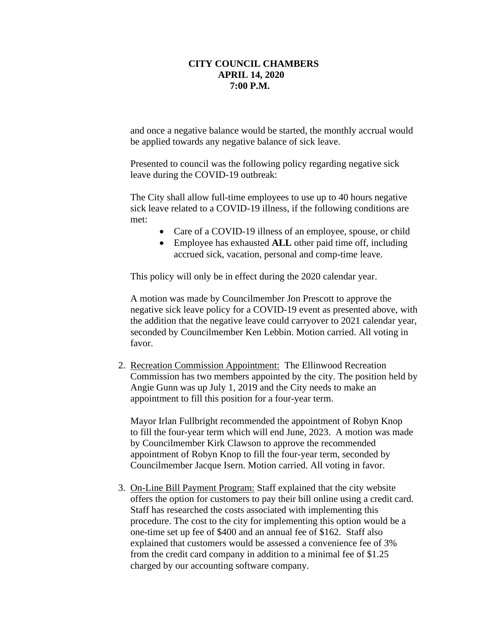and once a negative balance would be started, the monthly accrual would be applied towards any negative balance of sick leave.

Presented to council was the following policy regarding negative sick leave during the COVID-19 outbreak:

The City shall allow full-time employees to use up to 40 hours negative sick leave related to a COVID-19 illness, if the following conditions are met:

- Care of a COVID-19 illness of an employee, spouse, or child
- Employee has exhausted **ALL** other paid time off, including accrued sick, vacation, personal and comp-time leave.

This policy will only be in effect during the 2020 calendar year.

A motion was made by Councilmember Jon Prescott to approve the negative sick leave policy for a COVID-19 event as presented above, with the addition that the negative leave could carryover to 2021 calendar year, seconded by Councilmember Ken Lebbin. Motion carried. All voting in favor.

2. Recreation Commission Appointment: The Ellinwood Recreation Commission has two members appointed by the city. The position held by Angie Gunn was up July 1, 2019 and the City needs to make an appointment to fill this position for a four-year term.

Mayor Irlan Fullbright recommended the appointment of Robyn Knop to fill the four-year term which will end June, 2023. A motion was made by Councilmember Kirk Clawson to approve the recommended appointment of Robyn Knop to fill the four-year term, seconded by Councilmember Jacque Isern. Motion carried. All voting in favor.

3. On-Line Bill Payment Program: Staff explained that the city website offers the option for customers to pay their bill online using a credit card. Staff has researched the costs associated with implementing this procedure. The cost to the city for implementing this option would be a one-time set up fee of \$400 and an annual fee of \$162. Staff also explained that customers would be assessed a convenience fee of 3% from the credit card company in addition to a minimal fee of \$1.25 charged by our accounting software company.